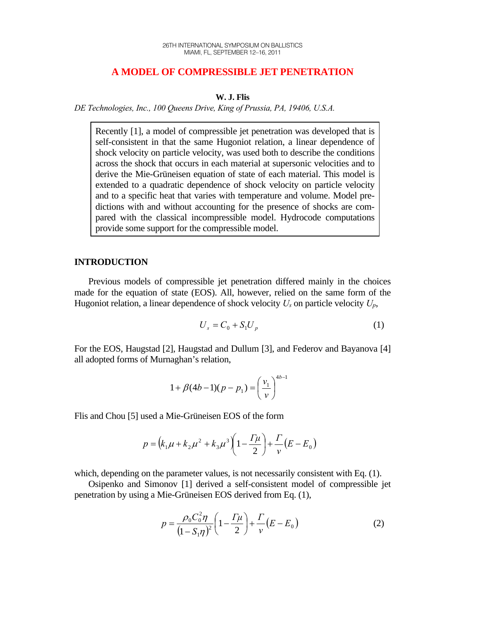# **A MODEL OF COMPRESSIBLE JET PENETRATION**

## **W. J. Flis**

*DE Technologies, Inc., 100 Queens Drive, King of Prussia, PA, 19406, U.S.A.* 

Recently [1], a model of compressible jet penetration was developed that is self-consistent in that the same Hugoniot relation, a linear dependence of shock velocity on particle velocity, was used both to describe the conditions across the shock that occurs in each material at supersonic velocities and to derive the Mie-Grüneisen equation of state of each material. This model is extended to a quadratic dependence of shock velocity on particle velocity and to a specific heat that varies with temperature and volume. Model predictions with and without accounting for the presence of shocks are compared with the classical incompressible model. Hydrocode computations provide some support for the compressible model.

# **INTRODUCTION**

 Previous models of compressible jet penetration differed mainly in the choices made for the equation of state (EOS). All, however, relied on the same form of the Hugoniot relation, a linear dependence of shock velocity  $U_s$  on particle velocity  $U_p$ ,

$$
U_s = C_0 + S_1 U_p \tag{1}
$$

For the EOS, Haugstad [2], Haugstad and Dullum [3], and Federov and Bayanova [4] all adopted forms of Murnaghan's relation,

$$
1 + \beta (4b - 1)(p - p_1) = \left(\frac{v_1}{v}\right)^{4b - 1}
$$

Flis and Chou [5] used a Mie-Grüneisen EOS of the form

$$
p = (k_1 \mu + k_2 \mu^2 + k_3 \mu^3) \left( 1 - \frac{\Gamma \mu}{2} \right) + \frac{\Gamma}{\nu} (E - E_0)
$$

which, depending on the parameter values, is not necessarily consistent with Eq. (1).

 Osipenko and Simonov [1] derived a self-consistent model of compressible jet penetration by using a Mie-Grüneisen EOS derived from Eq. (1),

$$
p = \frac{\rho_0 C_0^2 \eta}{\left(1 - S_1 \eta\right)^2} \left(1 - \frac{\Gamma \mu}{2}\right) + \frac{\Gamma}{\nu} \left(E - E_0\right) \tag{2}
$$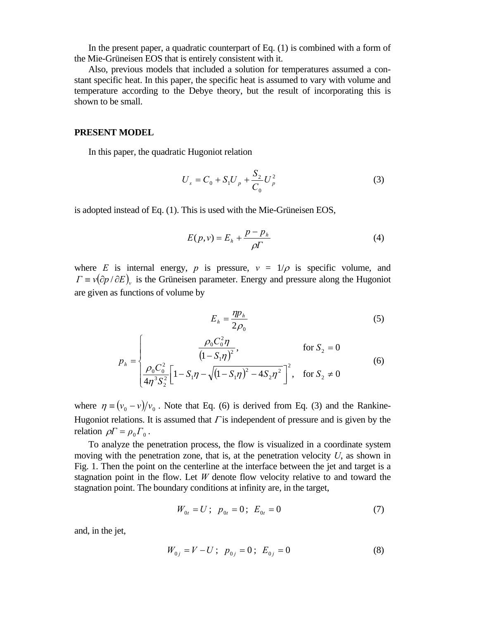In the present paper, a quadratic counterpart of Eq. (1) is combined with a form of the Mie-Grüneisen EOS that is entirely consistent with it.

 Also, previous models that included a solution for temperatures assumed a constant specific heat. In this paper, the specific heat is assumed to vary with volume and temperature according to the Debye theory, but the result of incorporating this is shown to be small.

#### **PRESENT MODEL**

In this paper, the quadratic Hugoniot relation

$$
U_s = C_0 + S_1 U_p + \frac{S_2}{C_0} U_p^2
$$
 (3)

is adopted instead of Eq. (1). This is used with the Mie-Grüneisen EOS,

$$
E(p, v) = E_h + \frac{p - p_h}{\rho \Gamma} \tag{4}
$$

where *E* is internal energy, *p* is pressure,  $v = 1/\rho$  is specific volume, and  $\Gamma \equiv v(\partial p / \partial E)$ , is the Grüneisen parameter. Energy and pressure along the Hugoniot are given as functions of volume by

$$
E_h = \frac{\eta p_h}{2\rho_0} \tag{5}
$$

$$
p_{h} = \begin{cases} \frac{\rho_{0}C_{0}^{2}\eta}{\left(1 - S_{1}\eta\right)^{2}}, & \text{for } S_{2} = 0\\ \frac{\rho_{0}C_{0}^{2}}{4\eta^{3}S_{2}^{2}} \left[1 - S_{1}\eta - \sqrt{\left(1 - S_{1}\eta\right)^{2} - 4S_{2}\eta^{2}}\right]^{2}, & \text{for } S_{2} \neq 0 \end{cases}
$$
(6)

where  $\eta = (v_0 - v)/v_0$ . Note that Eq. (6) is derived from Eq. (3) and the Rankine-Hugoniot relations. It is assumed that  $\Gamma$  is independent of pressure and is given by the relation  $\rho \Gamma = \rho_0 \Gamma_0$ .

 To analyze the penetration process, the flow is visualized in a coordinate system moving with the penetration zone, that is, at the penetration velocity *U*, as shown in Fig. 1. Then the point on the centerline at the interface between the jet and target is a stagnation point in the flow. Let *W* denote flow velocity relative to and toward the stagnation point. The boundary conditions at infinity are, in the target,

$$
W_{0t} = U; \ \ p_{0t} = 0; \ \ E_{0t} = 0 \tag{7}
$$

and, in the jet,

$$
W_{0j} = V - U; \ \ p_{0j} = 0; \ \ E_{0j} = 0 \tag{8}
$$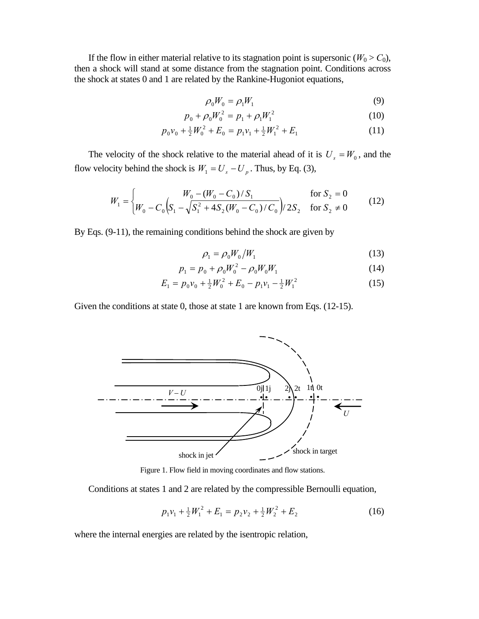If the flow in either material relative to its stagnation point is supersonic ( $W_0 > C_0$ ), then a shock will stand at some distance from the stagnation point. Conditions across the shock at states 0 and 1 are related by the Rankine-Hugoniot equations,

$$
\rho_0 W_0 = \rho_1 W_1 \tag{9}
$$

$$
p_0 + \rho_0 W_0^2 = p_1 + \rho_1 W_1^2 \tag{10}
$$

$$
p_0 v_0 + \frac{1}{2} W_0^2 + E_0 = p_1 v_1 + \frac{1}{2} W_1^2 + E_1
$$
 (11)

The velocity of the shock relative to the material ahead of it is  $U_s = W_0$ , and the flow velocity behind the shock is  $W_1 = U_s - U_p$ . Thus, by Eq. (3),

$$
W_1 = \begin{cases} W_0 - (W_0 - C_0)/S_1 & \text{for } S_2 = 0\\ W_0 - C_0 \Big(S_1 - \sqrt{S_1^2 + 4S_2(W_0 - C_0)/C_0}\Big) / 2S_2 & \text{for } S_2 \neq 0 \end{cases}
$$
(12)

By Eqs. (9-11), the remaining conditions behind the shock are given by

$$
\rho_1 = \rho_0 W_0 / W_1 \tag{13}
$$

$$
p_1 = p_0 + \rho_0 W_0^2 - \rho_0 W_0 W_1 \tag{14}
$$

$$
E_1 = p_0 v_0 + \frac{1}{2} W_0^2 + E_0 - p_1 v_1 - \frac{1}{2} W_1^2 \tag{15}
$$

Given the conditions at state 0, those at state 1 are known from Eqs. (12-15).



Figure 1. Flow field in moving coordinates and flow stations.

Conditions at states 1 and 2 are related by the compressible Bernoulli equation,

$$
p_1v_1 + \frac{1}{2}W_1^2 + E_1 = p_2v_2 + \frac{1}{2}W_2^2 + E_2
$$
 (16)

where the internal energies are related by the isentropic relation,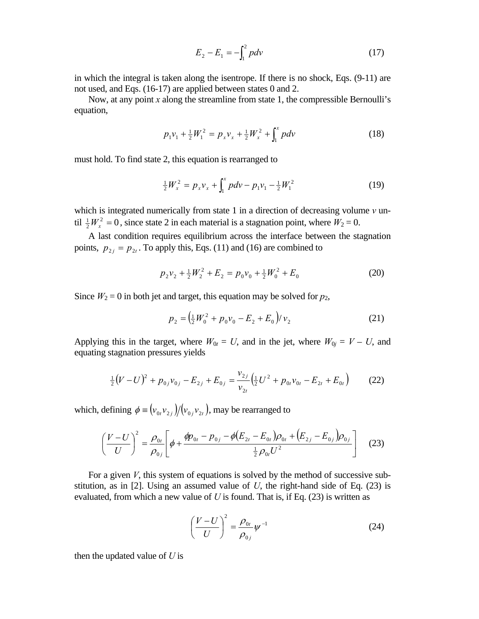$$
E_2 - E_1 = -\int_1^2 p dv \tag{17}
$$

in which the integral is taken along the isentrope. If there is no shock, Eqs. (9-11) are not used, and Eqs. (16-17) are applied between states 0 and 2.

 Now, at any point *x* along the streamline from state 1, the compressible Bernoulli's equation,

$$
p_1v_1 + \frac{1}{2}W_1^2 = p_xv_x + \frac{1}{2}W_x^2 + \int_1^x pdv \qquad (18)
$$

must hold. To find state 2, this equation is rearranged to

$$
\frac{1}{2}W_x^2 = p_x v_x + \int_1^x pdv - p_1 v_1 - \frac{1}{2}W_1^2 \tag{19}
$$

which is integrated numerically from state 1 in a direction of decreasing volume  $\nu$  until  $\frac{1}{2}W_x^2 = 0$ , since state 2 in each material is a stagnation point, where  $W_2 = 0$ .

 A last condition requires equilibrium across the interface between the stagnation points,  $p_{2i} = p_{2i}$ . To apply this, Eqs. (11) and (16) are combined to

$$
p_2 \nu_2 + \frac{1}{2} W_2^2 + E_2 = p_0 \nu_0 + \frac{1}{2} W_0^2 + E_0 \tag{20}
$$

Since  $W_2 = 0$  in both jet and target, this equation may be solved for  $p_2$ ,

$$
p_2 = \left(\frac{1}{2}W_0^2 + p_0 v_0 - E_2 + E_0\right)/v_2\tag{21}
$$

Applying this in the target, where  $W_{0t} = U$ , and in the jet, where  $W_{0j} = V - U$ , and equating stagnation pressures yields

$$
\frac{1}{2}(V-U)^2 + p_{0j}v_{0j} - E_{2j} + E_{0j} = \frac{v_{2j}}{v_{2t}}\left(\frac{1}{2}U^2 + p_{0t}v_{0t} - E_{2t} + E_{0t}\right)
$$
(22)

which, defining  $\phi = (v_{0t}v_{2t})/(v_{0t}v_{2t})$ , may be rearranged to

$$
\left(\frac{V-U}{U}\right)^2 = \frac{\rho_{0t}}{\rho_{0j}} \left[ \phi + \frac{\phi p_{0t} - p_{0j} - \phi (E_{2t} - E_{0t}) \rho_{0t} + (E_{2j} - E_{0j}) \rho_{0j}}{\frac{1}{2} \rho_{0t} U^2} \right]
$$
(23)

For a given *V*, this system of equations is solved by the method of successive substitution, as in [2]. Using an assumed value of  $U$ , the right-hand side of Eq.  $(23)$  is evaluated, from which a new value of *U* is found. That is, if Eq. (23) is written as

$$
\left(\frac{V-U}{U}\right)^2 = \frac{\rho_{0t}}{\rho_{0j}} \psi^{-1}
$$
\n(24)

then the updated value of *U* is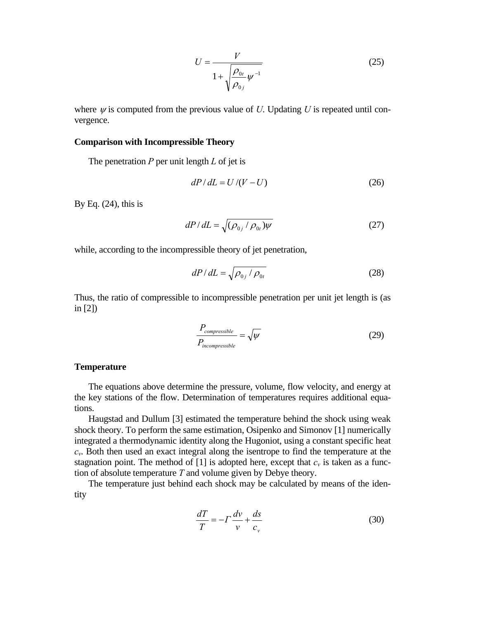$$
U = \frac{V}{1 + \sqrt{\frac{\rho_{0t}}{\rho_{0j}} \psi^{-1}}}
$$
 (25)

where  $\psi$  is computed from the previous value of *U*. Updating *U* is repeated until convergence.

## **Comparison with Incompressible Theory**

The penetration *P* per unit length *L* of jet is

$$
dP/dL = U/(V-U) \tag{26}
$$

By Eq.  $(24)$ , this is

$$
dP/dL = \sqrt{(\rho_{0j} / \rho_{0t})\psi}
$$
 (27)

while, according to the incompressible theory of jet penetration,

$$
dP/dL = \sqrt{\rho_{0j} / \rho_{0t}}
$$
 (28)

Thus, the ratio of compressible to incompressible penetration per unit jet length is (as in [2])

$$
\frac{P_{compressible}}{P_{incompressible}} = \sqrt{\psi} \tag{29}
$$

### **Temperature**

 The equations above determine the pressure, volume, flow velocity, and energy at the key stations of the flow. Determination of temperatures requires additional equations.

 Haugstad and Dullum [3] estimated the temperature behind the shock using weak shock theory. To perform the same estimation, Osipenko and Simonov [1] numerically integrated a thermodynamic identity along the Hugoniot, using a constant specific heat *cv*. Both then used an exact integral along the isentrope to find the temperature at the stagnation point. The method of [1] is adopted here, except that  $c<sub>v</sub>$  is taken as a function of absolute temperature *T* and volume given by Debye theory.

 The temperature just behind each shock may be calculated by means of the identity

$$
\frac{dT}{T} = -\Gamma \frac{dv}{v} + \frac{ds}{c_v} \tag{30}
$$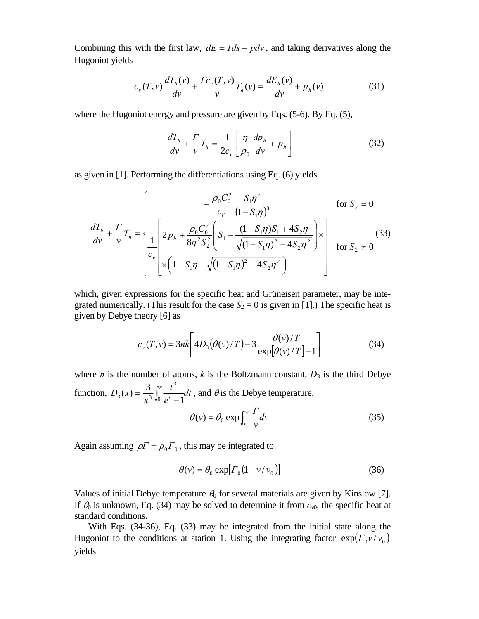Combining this with the first law,  $dE = Tds - pdv$ , and taking derivatives along the Hugoniot yields

$$
c_{\nu}(T,\nu)\frac{dT_h(\nu)}{d\nu} + \frac{\Gamma c_{\nu}(T,\nu)}{\nu}T_h(\nu) = \frac{dE_h(\nu)}{d\nu} + p_h(\nu)
$$
(31)

where the Hugoniot energy and pressure are given by Eqs. (5-6). By Eq. (5),

$$
\frac{dT_h}{dv} + \frac{\Gamma}{v}T_h = \frac{1}{2c_v} \left[ \frac{\eta}{\rho_0} \frac{dp_h}{dv} + p_h \right]
$$
(32)

as given in [1]. Performing the differentiations using Eq. (6) yields

$$
\frac{dT_h}{dv} + \frac{\Gamma}{v} T_h = \begin{cases}\n-\frac{\rho_0 C_0^2}{c_v} \frac{S_1 \eta^2}{(1 - S_1 \eta)^3} & \text{for } S_2 = 0 \\
\frac{1}{c_v} \left[ 2p_h + \frac{\rho_0 C_0^2}{8\eta^2 S_2^2} \left( S_1 - \frac{(1 - S_1 \eta)S_1 + 4S_2 \eta}{\sqrt{(1 - S_1 \eta)^2 - 4S_2 \eta^2}} \right) \times \right] & \text{for } S_2 \neq 0 \\
\times \left( 1 - S_1 \eta - \sqrt{(1 - S_1 \eta)^2 - 4S_2 \eta^2} \right)\n\end{cases} \tag{33}
$$

which, given expressions for the specific heat and Grüneisen parameter, may be integrated numerically. (This result for the case  $S_2 = 0$  is given in [1].) The specific heat is given by Debye theory [6] as

$$
c_v(T,v) = 3nk \left[ 4D_3(\theta(v)/T) - 3 \frac{\theta(v)/T}{\exp[\theta(v)/T] - 1} \right]
$$
(34)

where *n* is the number of atoms, *k* is the Boltzmann constant,  $D_3$  is the third Debye function,  $D_3(x) = \frac{3}{x} \int_0^x \frac{t}{t} dt$ *e t x*  $D_3(x) = \frac{3}{x^3} \int_0^x \frac{t^3}{e^t - t^3}$ 3  $3^{(x)} - x^3 \log^t - 1$  $f(x) = \frac{3}{x} \int_{0}^{x} \frac{t^3}{t^3} dt$ , and  $\theta$  is the Debye temperature,

$$
\theta(v) = \theta_0 \exp \int_v^{v_0} \frac{\Gamma}{v} dv \tag{35}
$$

Again assuming  $\rho \Gamma = \rho_0 \Gamma_0$ , this may be integrated to

$$
\theta(\nu) = \theta_0 \exp[r_0(1 - \nu/\nu_0)] \tag{36}
$$

Values of initial Debye temperature  $\theta_0$  for several materials are given by Kinslow [7]. If  $\theta_0$  is unknown, Eq. (34) may be solved to determine it from  $c_{v0}$ , the specific heat at standard conditions.

 With Eqs. (34-36), Eq. (33) may be integrated from the initial state along the Hugoniot to the conditions at station 1. Using the integrating factor  $\exp(\Gamma_0 v/v_0)$ yields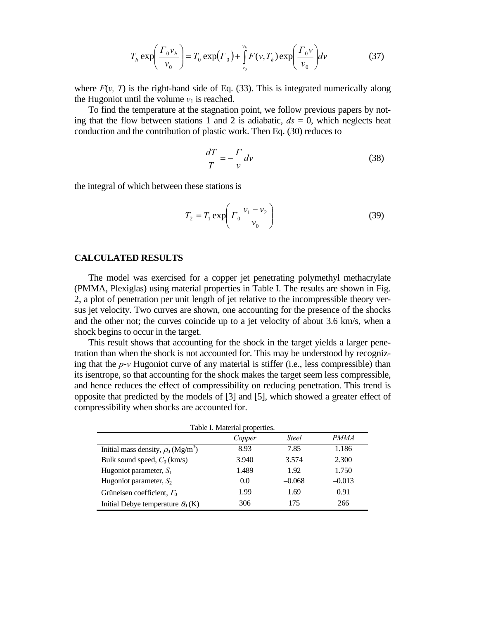$$
T_h \exp\left(\frac{\Gamma_0 v_h}{v_0}\right) = T_0 \exp(\Gamma_0) + \int_{v_0}^{v_h} F(v, T_h) \exp\left(\frac{\Gamma_0 v}{v_0}\right) dv \tag{37}
$$

where  $F(v, T)$  is the right-hand side of Eq. (33). This is integrated numerically along the Hugoniot until the volume  $v_1$  is reached.

 To find the temperature at the stagnation point, we follow previous papers by noting that the flow between stations 1 and 2 is adiabatic,  $ds = 0$ , which neglects heat conduction and the contribution of plastic work. Then Eq. (30) reduces to

$$
\frac{dT}{T} = -\frac{\Gamma}{v} dv \tag{38}
$$

the integral of which between these stations is

$$
T_2 = T_1 \exp\left(T_0 \frac{v_1 - v_2}{v_0}\right) \tag{39}
$$

# **CALCULATED RESULTS**

 The model was exercised for a copper jet penetrating polymethyl methacrylate (PMMA, Plexiglas) using material properties in Table I. The results are shown in Fig. 2, a plot of penetration per unit length of jet relative to the incompressible theory versus jet velocity. Two curves are shown, one accounting for the presence of the shocks and the other not; the curves coincide up to a jet velocity of about 3.6 km/s, when a shock begins to occur in the target.

 This result shows that accounting for the shock in the target yields a larger penetration than when the shock is not accounted for. This may be understood by recognizing that the *p*-*v* Hugoniot curve of any material is stiffer (i.e., less compressible) than its isentrope, so that accounting for the shock makes the target seem less compressible, and hence reduces the effect of compressibility on reducing penetration. This trend is opposite that predicted by the models of [3] and [5], which showed a greater effect of compressibility when shocks are accounted for.

| Table I. Material properties.                       |        |              |             |
|-----------------------------------------------------|--------|--------------|-------------|
|                                                     | Copper | <b>Steel</b> | <i>PMMA</i> |
| Initial mass density, $\rho_0$ (Mg/m <sup>3</sup> ) | 8.93   | 7.85         | 1.186       |
| Bulk sound speed, $C_0$ (km/s)                      | 3.940  | 3.574        | 2.300       |
| Hugoniot parameter, $S_1$                           | 1.489  | 1.92         | 1.750       |
| Hugoniot parameter, $S_2$                           | 0.0    | $-0.068$     | $-0.013$    |
| Grüneisen coefficient, $\Gamma_0$                   | 1.99   | 1.69         | 0.91        |
| Initial Debye temperature $\theta_0(K)$             | 306    | 175          | 266         |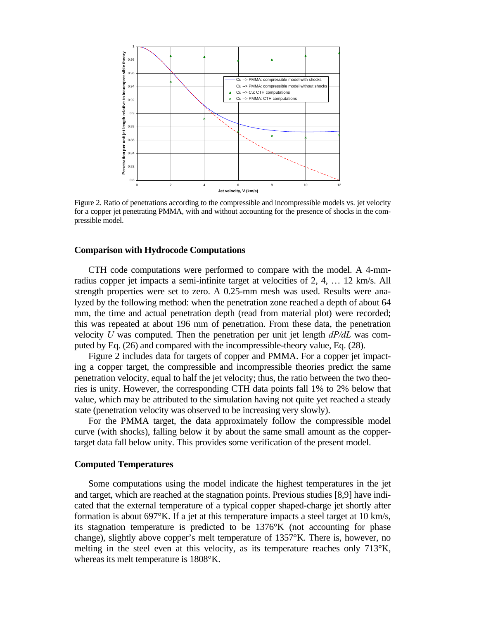

Figure 2. Ratio of penetrations according to the compressible and incompressible models vs. jet velocity for a copper jet penetrating PMMA, with and without accounting for the presence of shocks in the compressible model.

#### **Comparison with Hydrocode Computations**

 CTH code computations were performed to compare with the model. A 4-mmradius copper jet impacts a semi-infinite target at velocities of 2, 4, … 12 km/s. All strength properties were set to zero. A 0.25-mm mesh was used. Results were analyzed by the following method: when the penetration zone reached a depth of about 64 mm, the time and actual penetration depth (read from material plot) were recorded; this was repeated at about 196 mm of penetration. From these data, the penetration velocity *U* was computed. Then the penetration per unit jet length *dP/dL* was computed by Eq. (26) and compared with the incompressible-theory value, Eq. (28).

 Figure 2 includes data for targets of copper and PMMA. For a copper jet impacting a copper target, the compressible and incompressible theories predict the same penetration velocity, equal to half the jet velocity; thus, the ratio between the two theories is unity. However, the corresponding CTH data points fall 1% to 2% below that value, which may be attributed to the simulation having not quite yet reached a steady state (penetration velocity was observed to be increasing very slowly).

 For the PMMA target, the data approximately follow the compressible model curve (with shocks), falling below it by about the same small amount as the coppertarget data fall below unity. This provides some verification of the present model.

### **Computed Temperatures**

 Some computations using the model indicate the highest temperatures in the jet and target, which are reached at the stagnation points. Previous studies [8,9] have indicated that the external temperature of a typical copper shaped-charge jet shortly after formation is about 697°K. If a jet at this temperature impacts a steel target at 10 km/s, its stagnation temperature is predicted to be 1376°K (not accounting for phase change), slightly above copper's melt temperature of 1357°K. There is, however, no melting in the steel even at this velocity, as its temperature reaches only 713°K, whereas its melt temperature is 1808°K.